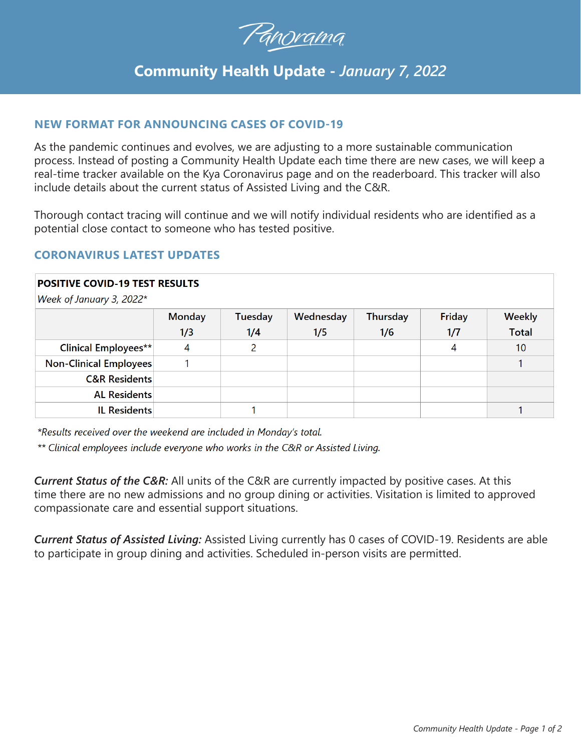

# **Community Health Update -** *January 7, 2022*

## **NEW FORMAT FOR ANNOUNCING CASES OF COVID-19**

As the pandemic continues and evolves, we are adjusting to a more sustainable communication process. Instead of posting a Community Health Update each time there are new cases, we will keep a real-time tracker available on the Kya Coronavirus page and on the readerboard. This tracker will also include details about the current status of Assisted Living and the C&R.

Thorough contact tracing will continue and we will notify individual residents who are identified as a potential close contact to someone who has tested positive.

## **CORONAVIRUS LATEST UPDATES**

#### **POSITIVE COVID-19 TEST RESULTS**

Week of January 3, 2022\*

|                             | <b>Monday</b><br>1/3 | Tuesday<br>1/4 | Wednesday<br>1/5 | <b>Thursday</b><br>1/6 | Friday<br>1/7 | <b>Weekly</b><br><b>Total</b> |
|-----------------------------|----------------------|----------------|------------------|------------------------|---------------|-------------------------------|
| <b>Clinical Employees**</b> | 4                    |                |                  |                        | 4             | 10                            |
| Non-Clinical Employees      |                      |                |                  |                        |               |                               |
| <b>C&amp;R Residents</b>    |                      |                |                  |                        |               |                               |
| <b>AL Residents</b>         |                      |                |                  |                        |               |                               |
| <b>IL Residents</b>         |                      |                |                  |                        |               |                               |

\*Results received over the weekend are included in Monday's total.

\*\* Clinical employees include everyone who works in the C&R or Assisted Living.

*Current Status of the C&R:* All units of the C&R are currently impacted by positive cases. At this time there are no new admissions and no group dining or activities. Visitation is limited to approved compassionate care and essential support situations.

*Current Status of Assisted Living:* Assisted Living currently has 0 cases of COVID-19. Residents are able to participate in group dining and activities. Scheduled in-person visits are permitted.